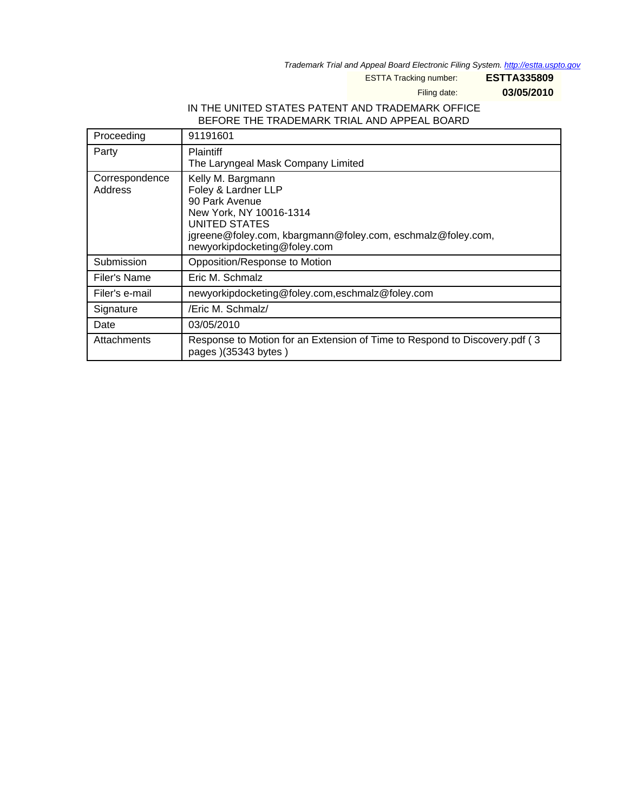Trademark Trial and Appeal Board Electronic Filing System. http://estta.uspto.gov

ESTTA Tracking number: **ESTTA335809**

Filing date: **03/05/2010**

## IN THE UNITED STATES PATENT AND TRADEMARK OFFICE BEFORE THE TRADEMARK TRIAL AND APPEAL BOARD

| Proceeding                | 91191601                                                                                                                                                                                              |  |
|---------------------------|-------------------------------------------------------------------------------------------------------------------------------------------------------------------------------------------------------|--|
| Party                     | <b>Plaintiff</b><br>The Laryngeal Mask Company Limited                                                                                                                                                |  |
| Correspondence<br>Address | Kelly M. Bargmann<br>Foley & Lardner LLP<br>90 Park Avenue<br>New York, NY 10016-1314<br>UNITED STATES<br>jgreene@foley.com, kbargmann@foley.com, eschmalz@foley.com,<br>newyorkipdocketing@foley.com |  |
| Submission                | Opposition/Response to Motion                                                                                                                                                                         |  |
| Filer's Name              | Eric M. Schmalz                                                                                                                                                                                       |  |
| Filer's e-mail            | newyorkipdocketing@foley.com,eschmalz@foley.com                                                                                                                                                       |  |
| Signature                 | /Eric M. Schmalz/                                                                                                                                                                                     |  |
| Date                      | 03/05/2010                                                                                                                                                                                            |  |
| Attachments               | Response to Motion for an Extension of Time to Respond to Discovery.pdf (3)<br>pages )(35343 bytes)                                                                                                   |  |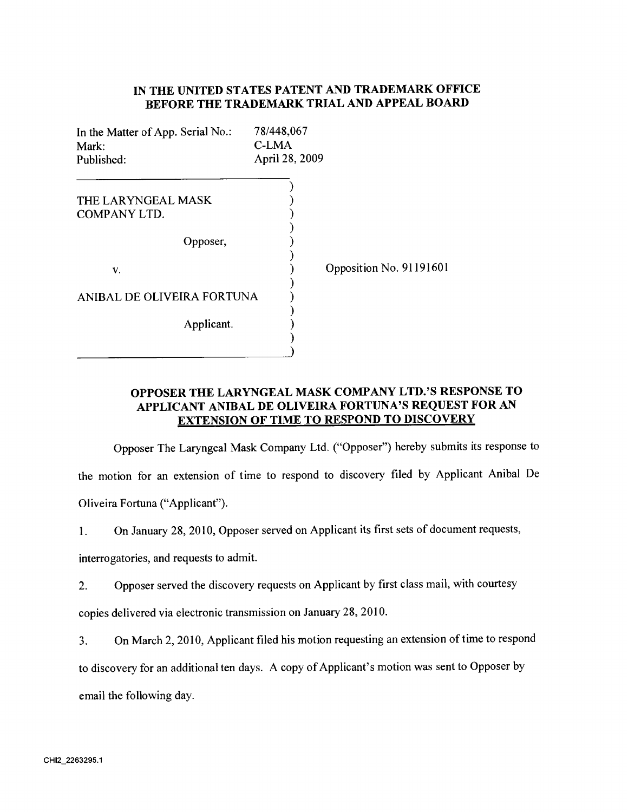# **IN THE UNITED STATES PATENT AND TRADEMARK OFFICE BEFORE THE TRADEMARK TRIAL AND APPEAL BOARD**

| In the Matter of App. Serial No.:<br>Mark:<br>Published: | 78/448,067<br>C-LMA<br>April 28, 2009 |                         |
|----------------------------------------------------------|---------------------------------------|-------------------------|
| THE LARYNGEAL MASK<br>COMPANY LTD.                       |                                       |                         |
| Opposer,                                                 |                                       |                         |
| v.                                                       |                                       | Opposition No. 91191601 |
| ANIBAL DE OLIVEIRA FORTUNA                               |                                       |                         |
| Applicant.                                               |                                       |                         |

# **OPPOSER THE LARYNGEAL MASK COMPANY LTD.'S RESPONSE TO APPLICANT ANIBAL DE OLIVEIRA FORTUNA'S REQUEST FOR AN EXTENSION OF TIME TO RESPOND TO DISCOVERY**

Opposer The Laryngeal Mask Company Ltd. ("Opposer") hereby submits its response to the motion for an extension of time to respond to discovery filed by Applicant Anibal De Oliveira Fortuna ("Applicant").

1. On January 28, 2010, Opposer served on Applicant its first sets of document requests,

interrogatories, and requests to admit.

2. Opposer served the discovery requests on Applicant by first class mail, with courtesy copies delivered via electronic transmission on January 28, 2010.

3. On March 2, 2010, Applicant filed his motion requesting an extension of time to respond to discovery for an additional ten days. A copy of Applicant's motion was sent to Opposer by email the following day.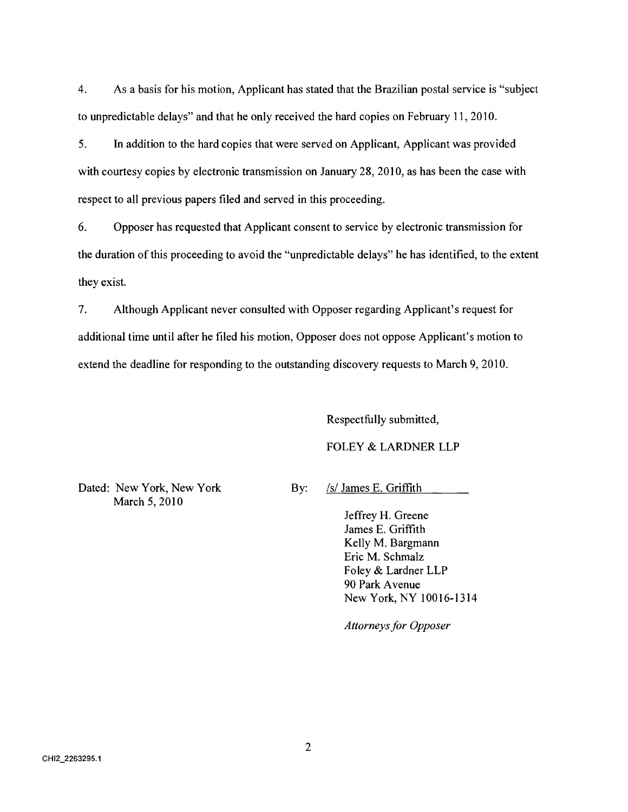4. As a basis for his motion, Applicant has stated that the Brazilian postal service is "subject to unpredictable delays" and that he only received the hard copies on February 11, 2010.

5. In addition to the hard copies that were served on Applicant, Applicant was provided with courtesy copies by electronic transmission on January 28, 2010, as has been the case with respect to all previous papers filed and served in this proceeding.

6. Opposer has requested that Applicant consent to service by electronic transmission for the duration of this proceeding to avoid the "unpredictable delays" he has identified, to the extent they exist.

7. Although Applicant never consulted with Opposer regarding Applicant's request for additional time until after he filed his motion, Opposer does not oppose Applicant's motion to extend the deadline for responding to the outstanding discovery requests to March 9, 2010.

Respectfully submitted,

#### FOLEY & LARDNER LLP

Dated: New York, New York By: /s/ James E. Griffith March 5, 2010

Jeffrey H. Greene James E. Griffith Kelly M. Bargmann Eric M. Schmalz Foley & Lardner LLP 90 Park Avenue New York, NY 10016-1314

*Attorneys for Opposer*